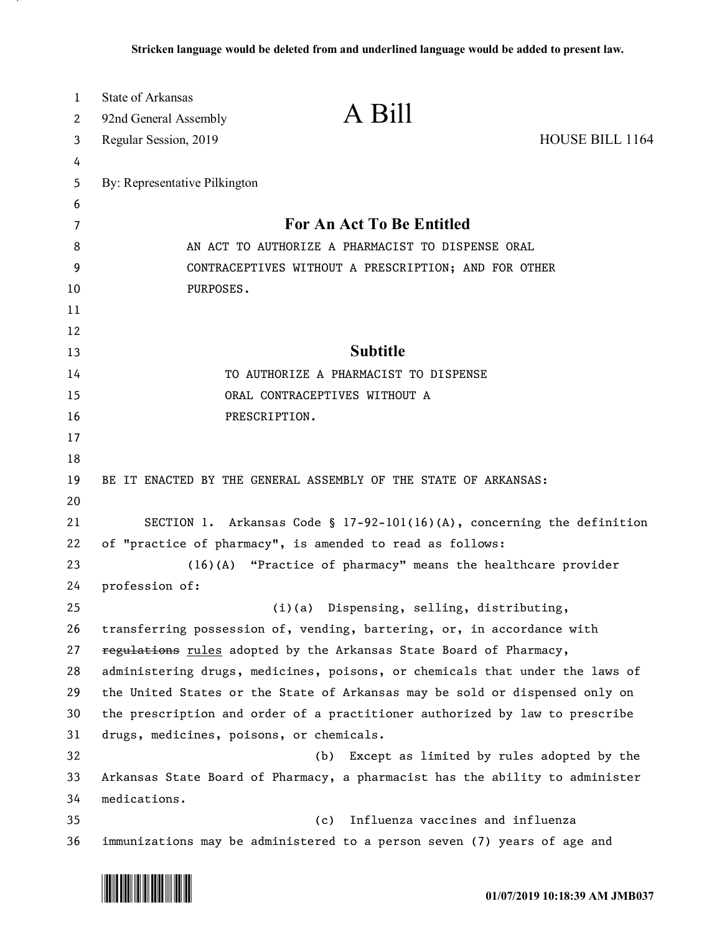| $\mathbf{1}$ | <b>State of Arkansas</b>                                                     |                                                              |                                                                           |
|--------------|------------------------------------------------------------------------------|--------------------------------------------------------------|---------------------------------------------------------------------------|
| 2            | 92nd General Assembly                                                        | A Bill                                                       |                                                                           |
| 3            | Regular Session, 2019                                                        |                                                              | HOUSE BILL 1164                                                           |
| 4            |                                                                              |                                                              |                                                                           |
| 5            | By: Representative Pilkington                                                |                                                              |                                                                           |
| 6            |                                                                              |                                                              |                                                                           |
| 7            |                                                                              | For An Act To Be Entitled                                    |                                                                           |
| 8            |                                                                              | AN ACT TO AUTHORIZE A PHARMACIST TO DISPENSE ORAL            |                                                                           |
| 9            |                                                                              | CONTRACEPTIVES WITHOUT A PRESCRIPTION; AND FOR OTHER         |                                                                           |
| 10           | PURPOSES.                                                                    |                                                              |                                                                           |
| 11           |                                                                              |                                                              |                                                                           |
| 12           |                                                                              |                                                              |                                                                           |
| 13           |                                                                              | <b>Subtitle</b>                                              |                                                                           |
| 14           |                                                                              | TO AUTHORIZE A PHARMACIST TO DISPENSE                        |                                                                           |
| 15           |                                                                              | ORAL CONTRACEPTIVES WITHOUT A                                |                                                                           |
| 16           | PRESCRIPTION.                                                                |                                                              |                                                                           |
| 17           |                                                                              |                                                              |                                                                           |
| 18           |                                                                              |                                                              |                                                                           |
| 19           | BE IT ENACTED BY THE GENERAL ASSEMBLY OF THE STATE OF ARKANSAS:              |                                                              |                                                                           |
| 20           |                                                                              |                                                              |                                                                           |
| 21           |                                                                              |                                                              | SECTION 1. Arkansas Code § $17-92-101(16)(A)$ , concerning the definition |
| 22           | of "practice of pharmacy", is amended to read as follows:                    |                                                              |                                                                           |
| 23           |                                                                              | (16)(A) "Practice of pharmacy" means the healthcare provider |                                                                           |
| 24<br>25     | profession of:                                                               |                                                              |                                                                           |
| 26           | transferring possession of, vending, bartering, or, in accordance with       | (i)(a) Dispensing, selling, distributing,                    |                                                                           |
| 27           | regulations rules adopted by the Arkansas State Board of Pharmacy,           |                                                              |                                                                           |
| 28           | administering drugs, medicines, poisons, or chemicals that under the laws of |                                                              |                                                                           |
| 29           | the United States or the State of Arkansas may be sold or dispensed only on  |                                                              |                                                                           |
| 30           | the prescription and order of a practitioner authorized by law to prescribe  |                                                              |                                                                           |
| 31           | drugs, medicines, poisons, or chemicals.                                     |                                                              |                                                                           |
| 32           |                                                                              | (b)                                                          | Except as limited by rules adopted by the                                 |
| 33           | Arkansas State Board of Pharmacy, a pharmacist has the ability to administer |                                                              |                                                                           |
| 34           | medications.                                                                 |                                                              |                                                                           |
| 35           |                                                                              | Influenza vaccines and influenza<br>(c)                      |                                                                           |
| 36           | immunizations may be administered to a person seven (7) years of age and     |                                                              |                                                                           |

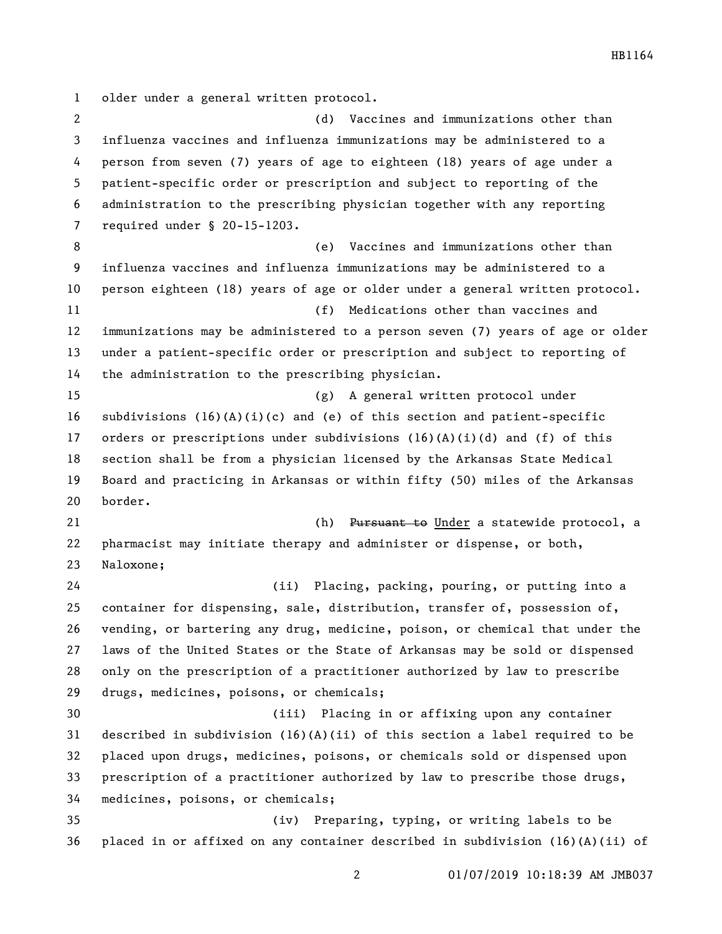older under a general written protocol.

 (d) Vaccines and immunizations other than influenza vaccines and influenza immunizations may be administered to a person from seven (7) years of age to eighteen (18) years of age under a patient-specific order or prescription and subject to reporting of the administration to the prescribing physician together with any reporting required under § 20-15-1203. (e) Vaccines and immunizations other than influenza vaccines and influenza immunizations may be administered to a person eighteen (18) years of age or older under a general written protocol. (f) Medications other than vaccines and immunizations may be administered to a person seven (7) years of age or older under a patient-specific order or prescription and subject to reporting of the administration to the prescribing physician. (g) A general written protocol under subdivisions (16)(A)(i)(c) and (e) of this section and patient-specific 17 orders or prescriptions under subdivisions  $(16)(A)(i)(d)$  and  $(f)$  of this section shall be from a physician licensed by the Arkansas State Medical Board and practicing in Arkansas or within fifty (50) miles of the Arkansas border. 21 Ch) Pursuant to Under a statewide protocol, a pharmacist may initiate therapy and administer or dispense, or both, Naloxone; (ii) Placing, packing, pouring, or putting into a container for dispensing, sale, distribution, transfer of, possession of, vending, or bartering any drug, medicine, poison, or chemical that under the laws of the United States or the State of Arkansas may be sold or dispensed only on the prescription of a practitioner authorized by law to prescribe drugs, medicines, poisons, or chemicals; (iii) Placing in or affixing upon any container described in subdivision (16)(A)(ii) of this section a label required to be placed upon drugs, medicines, poisons, or chemicals sold or dispensed upon prescription of a practitioner authorized by law to prescribe those drugs, medicines, poisons, or chemicals; (iv) Preparing, typing, or writing labels to be placed in or affixed on any container described in subdivision (16)(A)(ii) of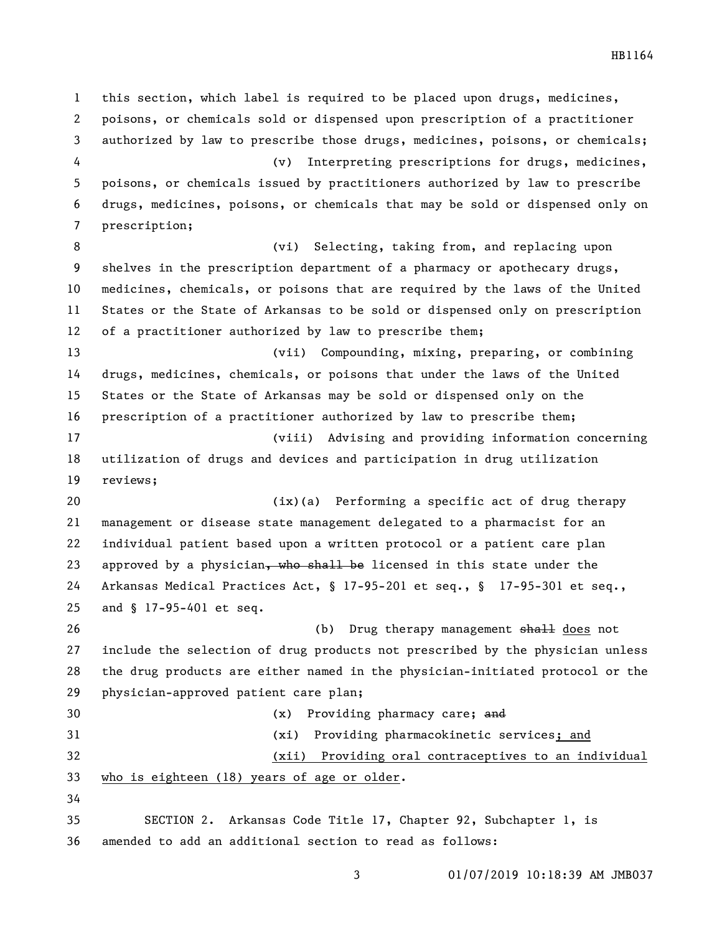this section, which label is required to be placed upon drugs, medicines, poisons, or chemicals sold or dispensed upon prescription of a practitioner authorized by law to prescribe those drugs, medicines, poisons, or chemicals; (v) Interpreting prescriptions for drugs, medicines, poisons, or chemicals issued by practitioners authorized by law to prescribe drugs, medicines, poisons, or chemicals that may be sold or dispensed only on prescription; (vi) Selecting, taking from, and replacing upon shelves in the prescription department of a pharmacy or apothecary drugs, medicines, chemicals, or poisons that are required by the laws of the United States or the State of Arkansas to be sold or dispensed only on prescription of a practitioner authorized by law to prescribe them; (vii) Compounding, mixing, preparing, or combining drugs, medicines, chemicals, or poisons that under the laws of the United States or the State of Arkansas may be sold or dispensed only on the prescription of a practitioner authorized by law to prescribe them; (viii) Advising and providing information concerning utilization of drugs and devices and participation in drug utilization reviews; (ix)(a) Performing a specific act of drug therapy management or disease state management delegated to a pharmacist for an individual patient based upon a written protocol or a patient care plan 23 approved by a physician, who shall be licensed in this state under the Arkansas Medical Practices Act, § 17-95-201 et seq., § 17-95-301 et seq., and § 17-95-401 et seq. 26 (b) Drug therapy management shall does not include the selection of drug products not prescribed by the physician unless the drug products are either named in the physician-initiated protocol or the physician-approved patient care plan; (x) Providing pharmacy care; and (xi) Providing pharmacokinetic services; and (xii) Providing oral contraceptives to an individual who is eighteen (18) years of age or older. SECTION 2. Arkansas Code Title 17, Chapter 92, Subchapter 1, is amended to add an additional section to read as follows:

01/07/2019 10:18:39 AM JMB037

HB1164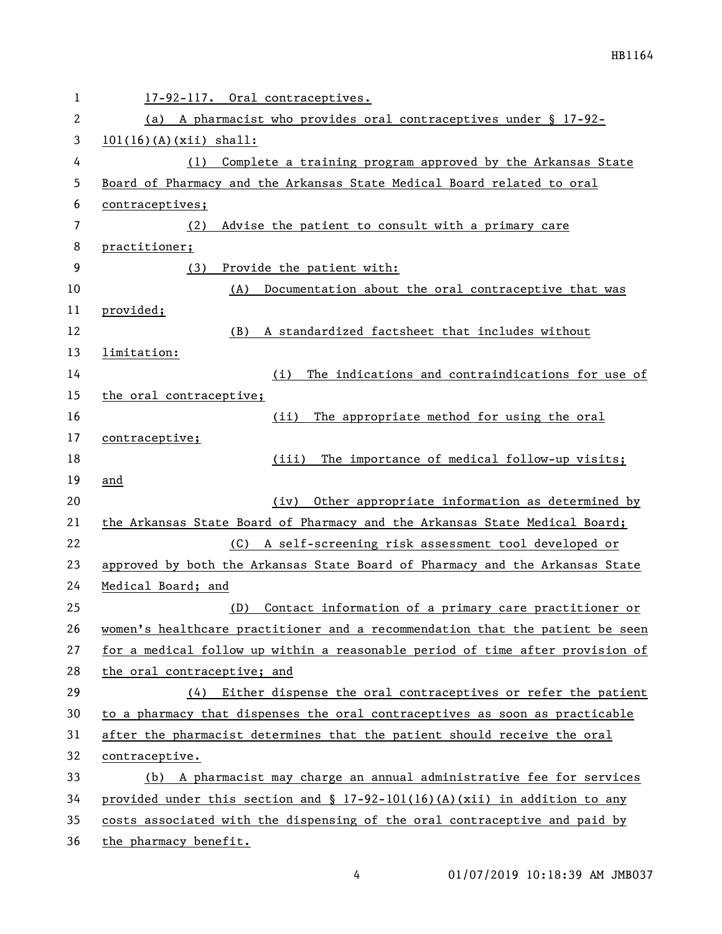| $\mathbf 1$  | 17-92-117. Oral contraceptives.                                               |  |  |
|--------------|-------------------------------------------------------------------------------|--|--|
| $\mathbf{2}$ | (a) A pharmacist who provides oral contraceptives under § 17-92-              |  |  |
| 3            | $101(16)(A)(xii)$ shall:                                                      |  |  |
| 4            | Complete a training program approved by the Arkansas State<br>(1)             |  |  |
| 5            | Board of Pharmacy and the Arkansas State Medical Board related to oral        |  |  |
| 6            | contraceptives;                                                               |  |  |
| 7            | Advise the patient to consult with a primary care<br>(2)                      |  |  |
| 8            | practitioner;                                                                 |  |  |
| 9            | Provide the patient with:<br>(3)                                              |  |  |
| 10           | Documentation about the oral contraceptive that was<br>(A)                    |  |  |
| 11           | provided;                                                                     |  |  |
| 12           | A standardized factsheet that includes without<br>(B)                         |  |  |
| 13           | limitation:                                                                   |  |  |
| 14           | The indications and contraindications for use of<br>(i)                       |  |  |
| 15           | the oral contraceptive;                                                       |  |  |
| 16           | The appropriate method for using the oral<br>(ii)                             |  |  |
| 17           | contraceptive;                                                                |  |  |
| 18           | The importance of medical follow-up visits;<br>(iii)                          |  |  |
| 19           | and                                                                           |  |  |
| 20           | Other appropriate information as determined by<br>(iv)                        |  |  |
| 21           | the Arkansas State Board of Pharmacy and the Arkansas State Medical Board;    |  |  |
| 22           | A self-screening risk assessment tool developed or<br>(C)                     |  |  |
| 23           | approved by both the Arkansas State Board of Pharmacy and the Arkansas State  |  |  |
| 24           | Medical Board; and                                                            |  |  |
| 25           | Contact information of a primary care practitioner or<br>(D)                  |  |  |
| 26           | women's healthcare practitioner and a recommendation that the patient be seen |  |  |
| 27           | for a medical follow up within a reasonable period of time after provision of |  |  |
| 28           | the oral contraceptive; and                                                   |  |  |
| 29           | (4) Either dispense the oral contraceptives or refer the patient              |  |  |
| 30           | to a pharmacy that dispenses the oral contraceptives as soon as practicable   |  |  |
| 31           | after the pharmacist determines that the patient should receive the oral      |  |  |
| 32           | contraceptive.                                                                |  |  |
| 33           | A pharmacist may charge an annual administrative fee for services<br>(b)      |  |  |
| 34           | provided under this section and § $17-92-101(16)(A)(xii)$ in addition to any  |  |  |
| 35           | costs associated with the dispensing of the oral contraceptive and paid by    |  |  |
| 36           | the pharmacy benefit.                                                         |  |  |